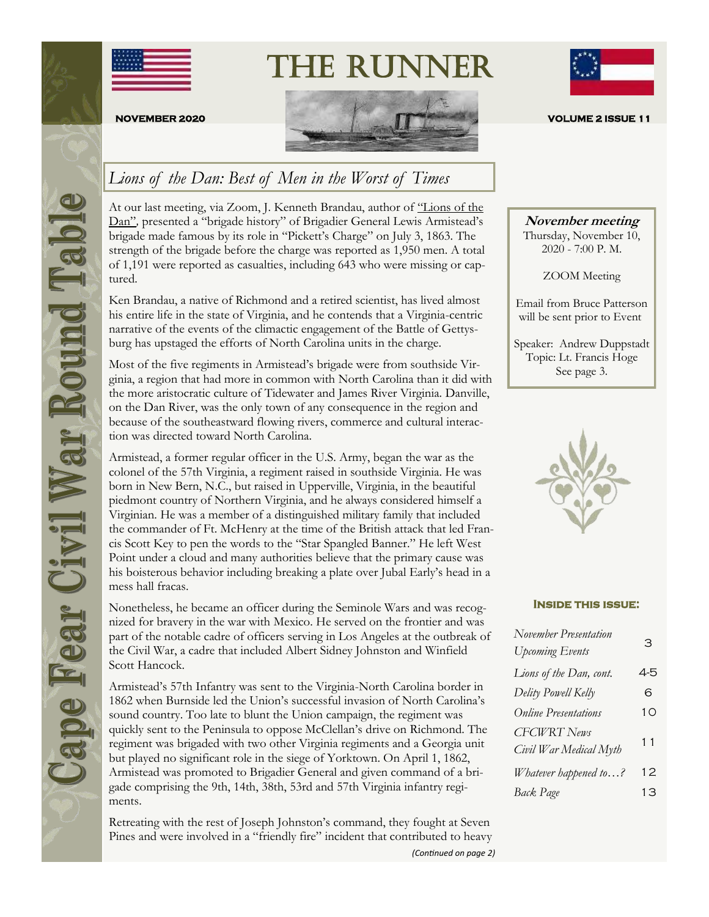





### *Lions of the Dan: Best of Men in the Worst of Times*

At our last meeting, via Zoom, J. Kenneth Brandau, author of ["Lions of the](https://www.amazon.com/Lions-Dan-Untold-Armisteads-Brigade/dp/1642793086)  [Dan"](https://www.amazon.com/Lions-Dan-Untold-Armisteads-Brigade/dp/1642793086)*,* presented a "brigade history" of Brigadier General Lewis Armistead's brigade made famous by its role in "Pickett's Charge" on July 3, 1863. The strength of the brigade before the charge was reported as 1,950 men. A total of 1,191 were reported as casualties, including 643 who were missing or captured.

Ken Brandau, a native of Richmond and a retired scientist, has lived almost his entire life in the state of Virginia, and he contends that a Virginia-centric narrative of the events of the climactic engagement of the Battle of Gettysburg has upstaged the efforts of North Carolina units in the charge.

Most of the five regiments in Armistead's brigade were from southside Virginia, a region that had more in common with North Carolina than it did with the more aristocratic culture of Tidewater and James River Virginia. Danville, on the Dan River, was the only town of any consequence in the region and because of the southeastward flowing rivers, commerce and cultural interaction was directed toward North Carolina.

Armistead, a former regular officer in the U.S. Army, began the war as the colonel of the 57th Virginia, a regiment raised in southside Virginia. He was born in New Bern, N.C., but raised in Upperville, Virginia, in the beautiful piedmont country of Northern Virginia, and he always considered himself a Virginian. He was a member of a distinguished military family that included the commander of Ft. McHenry at the time of the British attack that led Francis Scott Key to pen the words to the "Star Spangled Banner." He left West Point under a cloud and many authorities believe that the primary cause was his boisterous behavior including breaking a plate over Jubal Early's head in a mess hall fracas.

Nonetheless, he became an officer during the Seminole Wars and was recognized for bravery in the war with Mexico. He served on the frontier and was part of the notable cadre of officers serving in Los Angeles at the outbreak of the Civil War, a cadre that included Albert Sidney Johnston and Winfield Scott Hancock.

Armistead's 57th Infantry was sent to the Virginia-North Carolina border in 1862 when Burnside led the Union's successful invasion of North Carolina's sound country. Too late to blunt the Union campaign, the regiment was quickly sent to the Peninsula to oppose McClellan's drive on Richmond. The regiment was brigaded with two other Virginia regiments and a Georgia unit but played no significant role in the siege of Yorktown. On April 1, 1862, Armistead was promoted to Brigadier General and given command of a brigade comprising the 9th, 14th, 38th, 53rd and 57th Virginia infantry regiments.

Retreating with the rest of Joseph Johnston's command, they fought at Seven Pines and were involved in a "friendly fire" incident that contributed to heavy *(Continued on page 2)*



**November meeting**

Thursday, November 10, 2020 - 7:00 P. M.

ZOOM Meeting

Email from Bruce Patterson will be sent prior to Event

Speaker: Andrew Duppstadt Topic: Lt. Francis Hoge See page 3.



#### **Inside this issue:**

| November Presentation<br><b>Upcoming Events</b> | З              |
|-------------------------------------------------|----------------|
| Lions of the Dan, cont.                         | 4-5            |
| Delity Powell Kelly                             | 6              |
| <b>Online Presentations</b>                     | 1 <sub>O</sub> |
| <b>CFCWRT</b> News<br>Civil War Medical Myth    | 11             |
| Whatever happened to?                           | 12             |
| <b>Back Page</b>                                | 13             |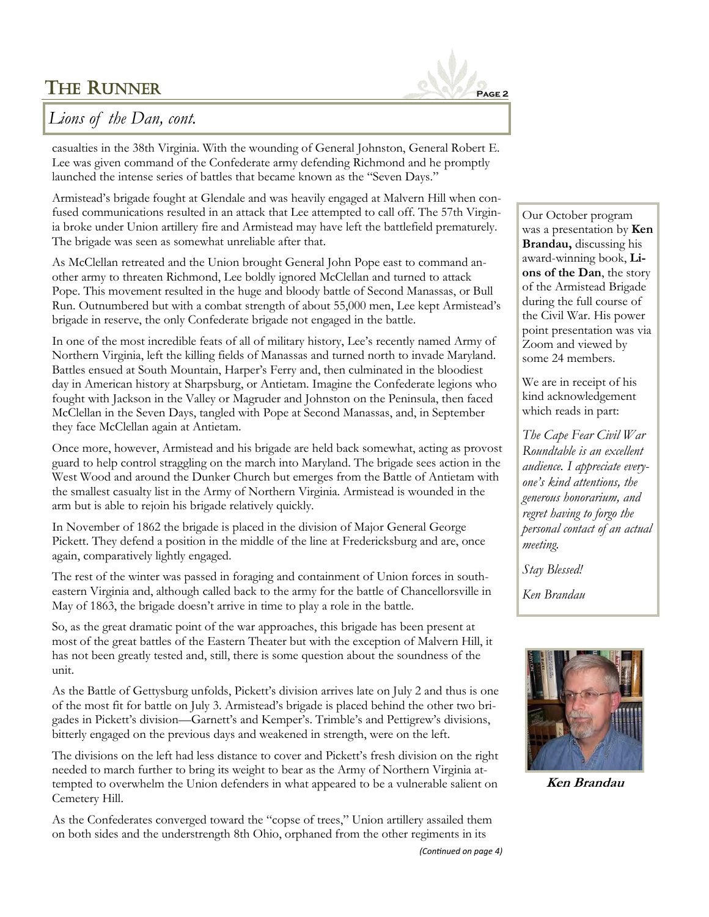

### *Lions of the Dan, cont.*

casualties in the 38th Virginia. With the wounding of General Johnston, General Robert E. Lee was given command of the Confederate army defending Richmond and he promptly launched the intense series of battles that became known as the "Seven Days."

Armistead's brigade fought at Glendale and was heavily engaged at Malvern Hill when confused communications resulted in an attack that Lee attempted to call off. The 57th Virginia broke under Union artillery fire and Armistead may have left the battlefield prematurely. The brigade was seen as somewhat unreliable after that.

As McClellan retreated and the Union brought General John Pope east to command another army to threaten Richmond, Lee boldly ignored McClellan and turned to attack Pope. This movement resulted in the huge and bloody battle of Second Manassas, or Bull Run. Outnumbered but with a combat strength of about 55,000 men, Lee kept Armistead's brigade in reserve, the only Confederate brigade not engaged in the battle.

In one of the most incredible feats of all of military history, Lee's recently named Army of Northern Virginia, left the killing fields of Manassas and turned north to invade Maryland. Battles ensued at South Mountain, Harper's Ferry and, then culminated in the bloodiest day in American history at Sharpsburg, or Antietam. Imagine the Confederate legions who fought with Jackson in the Valley or Magruder and Johnston on the Peninsula, then faced McClellan in the Seven Days, tangled with Pope at Second Manassas, and, in September they face McClellan again at Antietam.

Once more, however, Armistead and his brigade are held back somewhat, acting as provost guard to help control straggling on the march into Maryland. The brigade sees action in the West Wood and around the Dunker Church but emerges from the Battle of Antietam with the smallest casualty list in the Army of Northern Virginia. Armistead is wounded in the arm but is able to rejoin his brigade relatively quickly.

In November of 1862 the brigade is placed in the division of Major General George Pickett. They defend a position in the middle of the line at Fredericksburg and are, once again, comparatively lightly engaged.

The rest of the winter was passed in foraging and containment of Union forces in southeastern Virginia and, although called back to the army for the battle of Chancellorsville in May of 1863, the brigade doesn't arrive in time to play a role in the battle.

So, as the great dramatic point of the war approaches, this brigade has been present at most of the great battles of the Eastern Theater but with the exception of Malvern Hill, it has not been greatly tested and, still, there is some question about the soundness of the unit.

As the Battle of Gettysburg unfolds, Pickett's division arrives late on July 2 and thus is one of the most fit for battle on July 3. Armistead's brigade is placed behind the other two brigades in Pickett's division—Garnett's and Kemper's. Trimble's and Pettigrew's divisions, bitterly engaged on the previous days and weakened in strength, were on the left.

The divisions on the left had less distance to cover and Pickett's fresh division on the right needed to march further to bring its weight to bear as the Army of Northern Virginia attempted to overwhelm the Union defenders in what appeared to be a vulnerable salient on Cemetery Hill.

As the Confederates converged toward the "copse of trees," Union artillery assailed them on both sides and the understrength 8th Ohio, orphaned from the other regiments in its

Our October program was a presentation by **Ken Brandau,** discussing his award-winning book, **Lions of the Dan**, the story of the Armistead Brigade during the full course of the Civil War. His power point presentation was via Zoom and viewed by some 24 members.

We are in receipt of his kind acknowledgement which reads in part:

*The Cape Fear Civil War Roundtable is an excellent audience. I appreciate everyone's kind attentions, the generous honorarium, and regret having to forgo the personal contact of an actual meeting.*

*Stay Blessed!*

*Ken Brandau*



**Ken Brandau**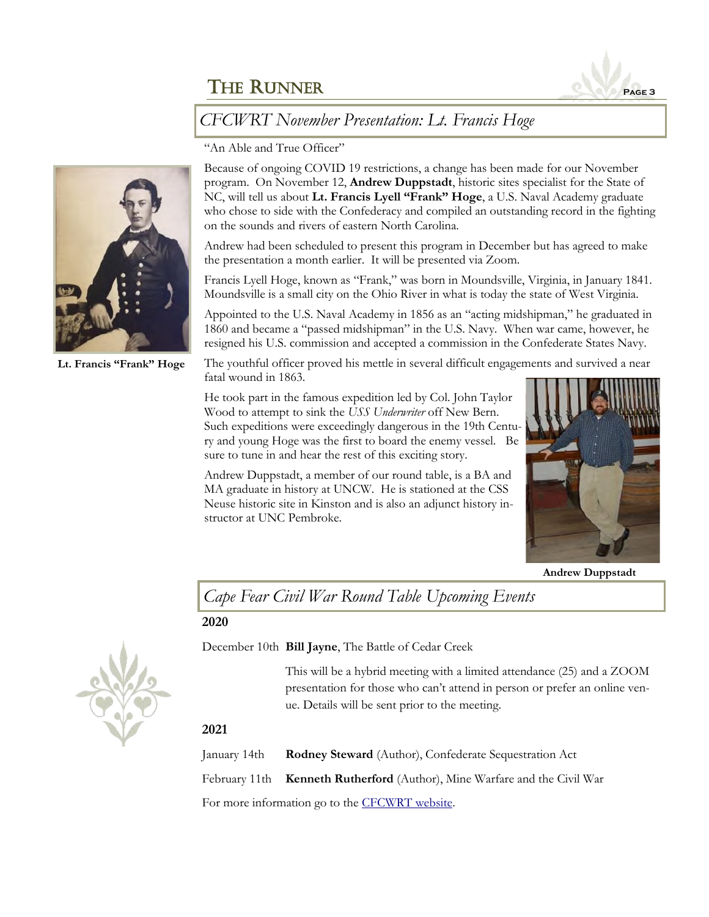

### *CFCWRT November Presentation: Lt. Francis Hoge*

"An Able and True Officer"

Because of ongoing COVID 19 restrictions, a change has been made for our November program. On November 12, **Andrew Duppstadt**, historic sites specialist for the State of NC, will tell us about **Lt. Francis Lyell "Frank" Hoge**, a U.S. Naval Academy graduate who chose to side with the Confederacy and compiled an outstanding record in the fighting on the sounds and rivers of eastern North Carolina.

Andrew had been scheduled to present this program in December but has agreed to make the presentation a month earlier. It will be presented via Zoom.

Francis Lyell Hoge, known as "Frank," was born in Moundsville, Virginia, in January 1841. Moundsville is a small city on the Ohio River in what is today the state of West Virginia.

Appointed to the U.S. Naval Academy in 1856 as an "acting midshipman," he graduated in 1860 and became a "passed midshipman" in the U.S. Navy. When war came, however, he resigned his U.S. commission and accepted a commission in the Confederate States Navy.

The youthful officer proved his mettle in several difficult engagements and survived a near fatal wound in 1863.

He took part in the famous expedition led by Col. John Taylor Wood to attempt to sink the *USS Underwriter* off New Bern. Such expeditions were exceedingly dangerous in the 19th Century and young Hoge was the first to board the enemy vessel. Be sure to tune in and hear the rest of this exciting story.

Andrew Duppstadt, a member of our round table, is a BA and MA graduate in history at UNCW. He is stationed at the CSS Neuse historic site in Kinston and is also an adjunct history instructor at UNC Pembroke.



**Andrew Duppstadt**

*Cape Fear Civil War Round Table Upcoming Events*

#### **2020**



December 10th **Bill Jayne**, The Battle of Cedar Creek

This will be a hybrid meeting with a limited attendance (25) and a ZOOM presentation for those who can't attend in person or prefer an online venue. Details will be sent prior to the meeting.

#### **2021**

January 14th **Rodney Steward** (Author), Confederate Sequestration Act

February 11th **Kenneth Rutherford** (Author), Mine Warfare and the Civil War

For more information go to the [CFCWRT website.](http://cfcwrt.org/)



**Lt. Francis "Frank" Hoge**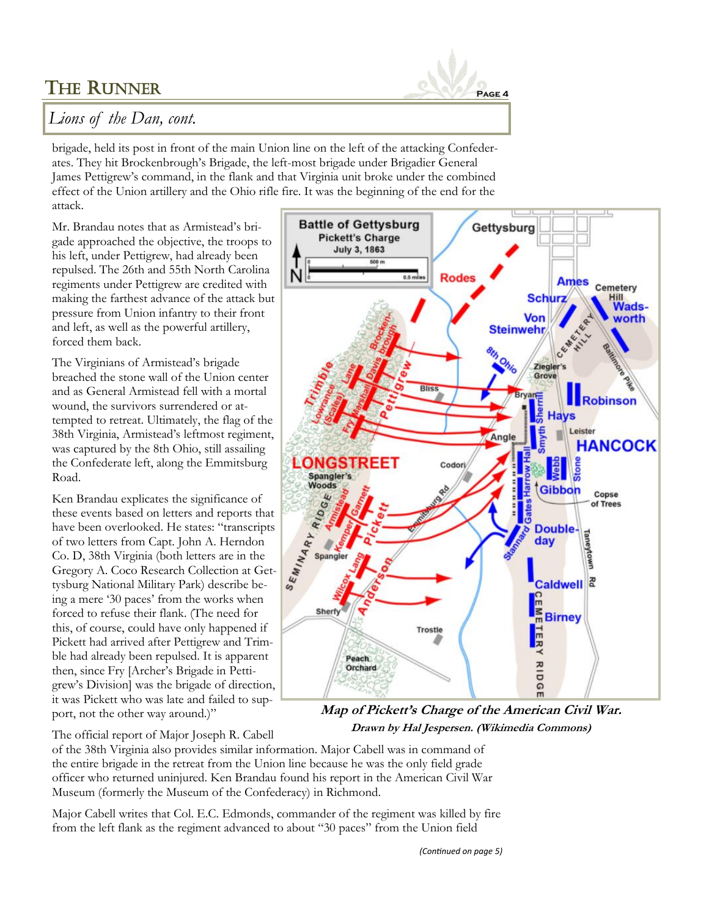

### *Lions of the Dan, cont.*

brigade, held its post in front of the main Union line on the left of the attacking Confederates. They hit Brockenbrough's Brigade, the left-most brigade under Brigadier General James Pettigrew's command, in the flank and that Virginia unit broke under the combined effect of the Union artillery and the Ohio rifle fire. It was the beginning of the end for the attack.

Mr. Brandau notes that as Armistead's brigade approached the objective, the troops to his left, under Pettigrew, had already been repulsed. The 26th and 55th North Carolina regiments under Pettigrew are credited with making the farthest advance of the attack but pressure from Union infantry to their front and left, as well as the powerful artillery, forced them back.

The Virginians of Armistead's brigade breached the stone wall of the Union center and as General Armistead fell with a mortal wound, the survivors surrendered or attempted to retreat. Ultimately, the flag of the 38th Virginia, Armistead's leftmost regiment, was captured by the 8th Ohio, still assailing the Confederate left, along the Emmitsburg Road.

Ken Brandau explicates the significance of these events based on letters and reports that have been overlooked. He states: "transcripts of two letters from Capt. John A. Herndon Co. D, 38th Virginia (both letters are in the Gregory A. Coco Research Collection at Gettysburg National Military Park) describe being a mere '30 paces' from the works when forced to refuse their flank. (The need for this, of course, could have only happened if Pickett had arrived after Pettigrew and Trimble had already been repulsed. It is apparent then, since Fry [Archer's Brigade in Pettigrew's Division] was the brigade of direction, it was Pickett who was late and failed to support, not the other way around.)"

The official report of Major Joseph R. Cabell



**Map of Pickett's Charge of the American Civil War. Drawn by Hal Jespersen. (Wikimedia Commons)**

of the 38th Virginia also provides similar information. Major Cabell was in command of the entire brigade in the retreat from the Union line because he was the only field grade officer who returned uninjured. Ken Brandau found his report in the American Civil War Museum (formerly the Museum of the Confederacy) in Richmond.

Major Cabell writes that Col. E.C. Edmonds, commander of the regiment was killed by fire from the left flank as the regiment advanced to about "30 paces" from the Union field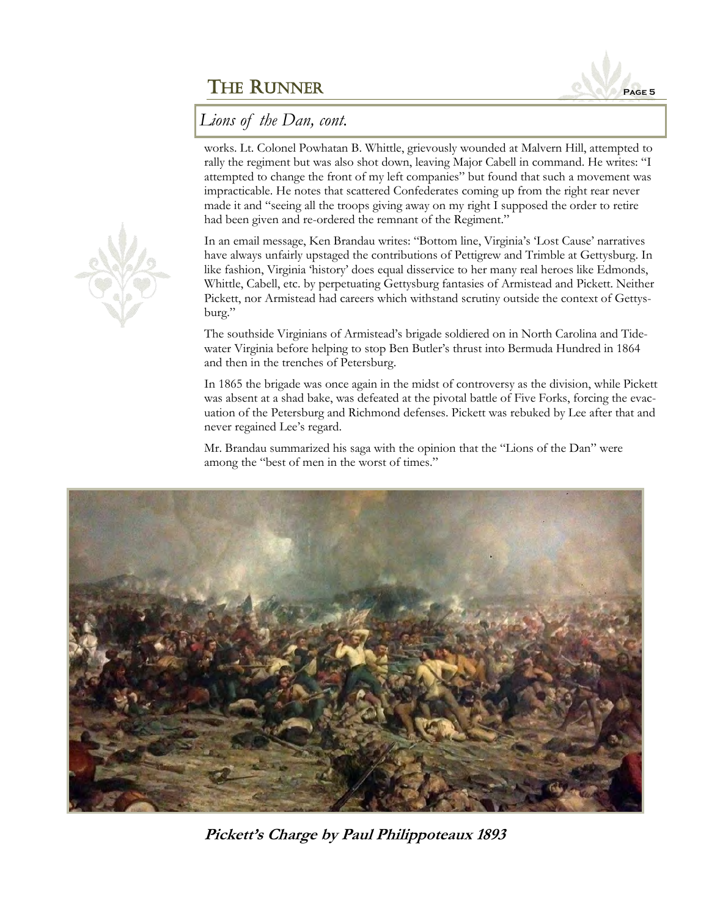

*Lions of the Dan, cont.*

works. Lt. Colonel Powhatan B. Whittle, grievously wounded at Malvern Hill, attempted to rally the regiment but was also shot down, leaving Major Cabell in command. He writes: "I attempted to change the front of my left companies" but found that such a movement was impracticable. He notes that scattered Confederates coming up from the right rear never made it and "seeing all the troops giving away on my right I supposed the order to retire had been given and re-ordered the remnant of the Regiment."

In an email message, Ken Brandau writes: "Bottom line, Virginia's 'Lost Cause' narratives have always unfairly upstaged the contributions of Pettigrew and Trimble at Gettysburg. In like fashion, Virginia 'history' does equal disservice to her many real heroes like Edmonds, Whittle, Cabell, etc. by perpetuating Gettysburg fantasies of Armistead and Pickett. Neither Pickett, nor Armistead had careers which withstand scrutiny outside the context of Gettysburg."

The southside Virginians of Armistead's brigade soldiered on in North Carolina and Tidewater Virginia before helping to stop Ben Butler's thrust into Bermuda Hundred in 1864 and then in the trenches of Petersburg.

In 1865 the brigade was once again in the midst of controversy as the division, while Pickett was absent at a shad bake, was defeated at the pivotal battle of Five Forks, forcing the evacuation of the Petersburg and Richmond defenses. Pickett was rebuked by Lee after that and never regained Lee's regard.

Mr. Brandau summarized his saga with the opinion that the "Lions of the Dan" were among the "best of men in the worst of times."



**Pickett's Charge by Paul Philippoteaux 1893**

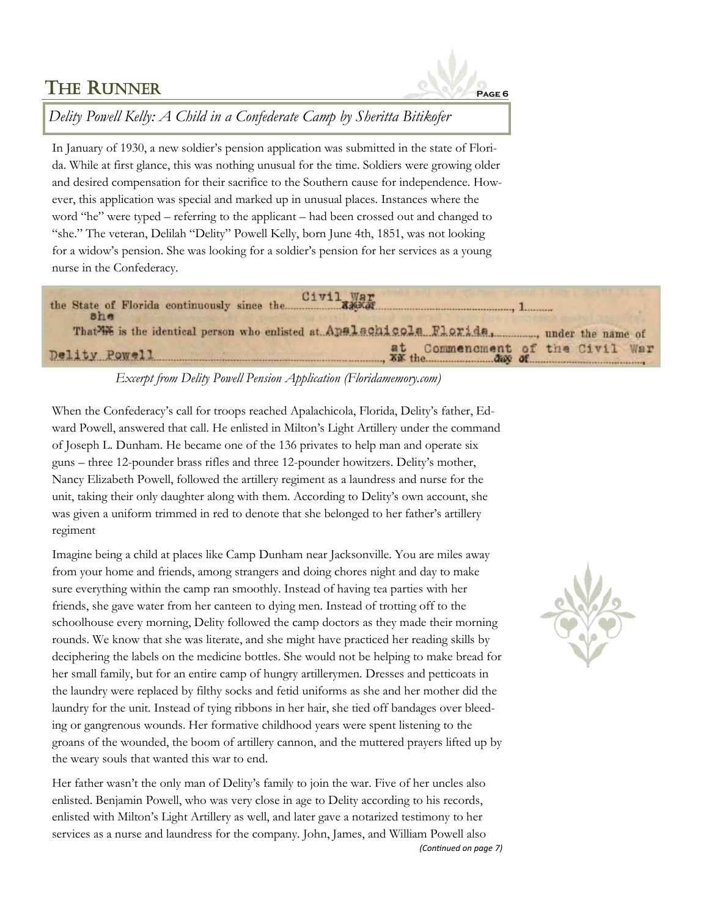

*Delity Powell Kelly: A Child in a Confederate Camp by Sheritta Bitikofer*

In January of 1930, a new soldier's pension application was submitted in the state of Florida. While at first glance, this was nothing unusual for the time. Soldiers were growing older and desired compensation for their sacrifice to the Southern cause for independence. However, this application was special and marked up in unusual places. Instances where the word "he" were typed – referring to the applicant – had been crossed out and changed to "she." The veteran, Delilah "Delity" Powell Kelly, born June 4th, 1851, was not looking for a widow's pension. She was looking for a soldier's pension for her services as a young nurse in the Confederacy.



### *Excerpt from Delity Powell Pension Application (Floridamemory.com)*

When the Confederacy's call for troops reached Apalachicola, Florida, Delity's father, Edward Powell, answered that call. He enlisted in Milton's Light Artillery under the command of Joseph L. Dunham. He became one of the 136 privates to help man and operate six guns – three 12-pounder brass rifles and three 12-pounder howitzers. Delity's mother, Nancy Elizabeth Powell, followed the artillery regiment as a laundress and nurse for the unit, taking their only daughter along with them. According to Delity's own account, she was given a uniform trimmed in red to denote that she belonged to her father's artillery regiment

Imagine being a child at places like Camp Dunham near Jacksonville. You are miles away from your home and friends, among strangers and doing chores night and day to make sure everything within the camp ran smoothly. Instead of having tea parties with her friends, she gave water from her canteen to dying men. Instead of trotting off to the schoolhouse every morning, Delity followed the camp doctors as they made their morning rounds. We know that she was literate, and she might have practiced her reading skills by deciphering the labels on the medicine bottles. She would not be helping to make bread for her small family, but for an entire camp of hungry artillerymen. Dresses and petticoats in the laundry were replaced by filthy socks and fetid uniforms as she and her mother did the laundry for the unit. Instead of tying ribbons in her hair, she tied off bandages over bleeding or gangrenous wounds. Her formative childhood years were spent listening to the groans of the wounded, the boom of artillery cannon, and the muttered prayers lifted up by the weary souls that wanted this war to end.

Her father wasn't the only man of Delity's family to join the war. Five of her uncles also enlisted. Benjamin Powell, who was very close in age to Delity according to his records, enlisted with Milton's Light Artillery as well, and later gave a notarized testimony to her services as a nurse and laundress for the company. John, James, and William Powell also *(Continued on page 7)*

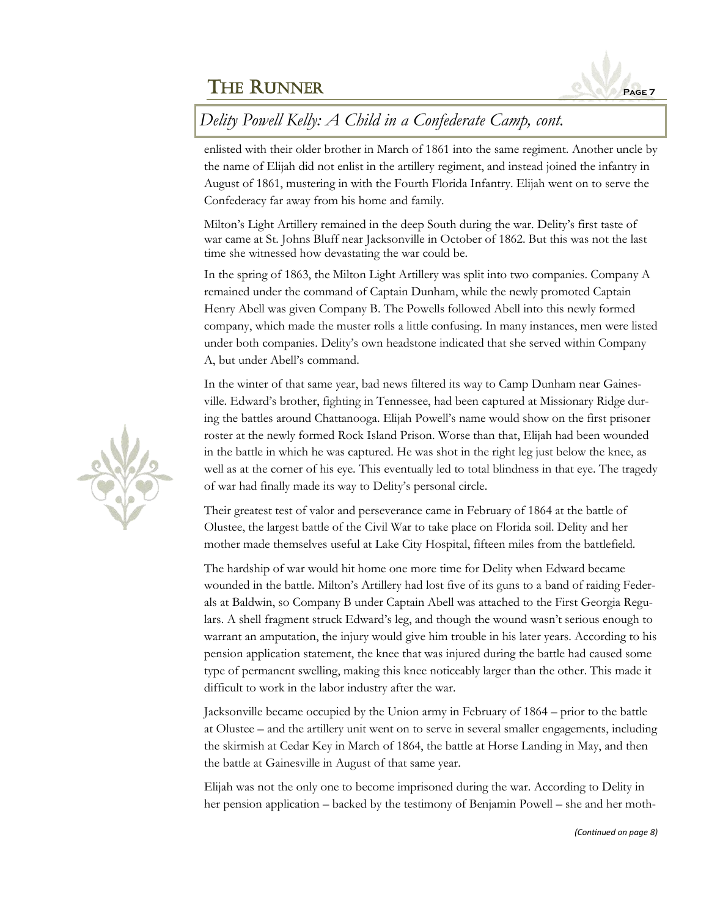

# *Delity Powell Kelly: A Child in a Confederate Camp, cont.*

enlisted with their older brother in March of 1861 into the same regiment. Another uncle by the name of Elijah did not enlist in the artillery regiment, and instead joined the infantry in August of 1861, mustering in with the Fourth Florida Infantry. Elijah went on to serve the Confederacy far away from his home and family.

Milton's Light Artillery remained in the deep South during the war. Delity's first taste of war came at St. Johns Bluff near Jacksonville in October of 1862. But this was not the last time she witnessed how devastating the war could be.

In the spring of 1863, the Milton Light Artillery was split into two companies. Company A remained under the command of Captain Dunham, while the newly promoted Captain Henry Abell was given Company B. The Powells followed Abell into this newly formed company, which made the muster rolls a little confusing. In many instances, men were listed under both companies. Delity's own headstone indicated that she served within Company A, but under Abell's command.

In the winter of that same year, bad news filtered its way to Camp Dunham near Gainesville. Edward's brother, fighting in Tennessee, had been captured at Missionary Ridge during the battles around Chattanooga. Elijah Powell's name would show on the first prisoner roster at the newly formed Rock Island Prison. Worse than that, Elijah had been wounded in the battle in which he was captured. He was shot in the right leg just below the knee, as well as at the corner of his eye. This eventually led to total blindness in that eye. The tragedy of war had finally made its way to Delity's personal circle.

Their greatest test of valor and perseverance came in February of 1864 at the battle of Olustee, the largest battle of the Civil War to take place on Florida soil. Delity and her mother made themselves useful at Lake City Hospital, fifteen miles from the battlefield.

The hardship of war would hit home one more time for Delity when Edward became wounded in the battle. Milton's Artillery had lost five of its guns to a band of raiding Federals at Baldwin, so Company B under Captain Abell was attached to the First Georgia Regulars. A shell fragment struck Edward's leg, and though the wound wasn't serious enough to warrant an amputation, the injury would give him trouble in his later years. According to his pension application statement, the knee that was injured during the battle had caused some type of permanent swelling, making this knee noticeably larger than the other. This made it difficult to work in the labor industry after the war.

Jacksonville became occupied by the Union army in February of 1864 – prior to the battle at Olustee – and the artillery unit went on to serve in several smaller engagements, including the skirmish at Cedar Key in March of 1864, the battle at Horse Landing in May, and then the battle at Gainesville in August of that same year.

Elijah was not the only one to become imprisoned during the war. According to Delity in her pension application – backed by the testimony of Benjamin Powell – she and her moth-

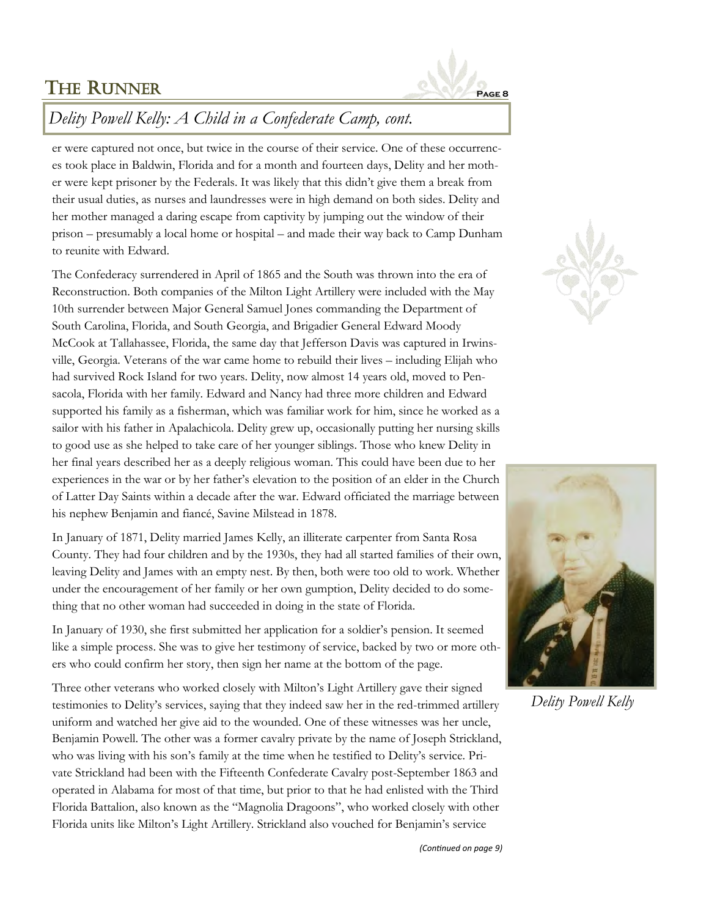

### *Delity Powell Kelly: A Child in a Confederate Camp, cont.*

er were captured not once, but twice in the course of their service. One of these occurrences took place in Baldwin, Florida and for a month and fourteen days, Delity and her mother were kept prisoner by the Federals. It was likely that this didn't give them a break from their usual duties, as nurses and laundresses were in high demand on both sides. Delity and her mother managed a daring escape from captivity by jumping out the window of their prison – presumably a local home or hospital – and made their way back to Camp Dunham to reunite with Edward.

The Confederacy surrendered in April of 1865 and the South was thrown into the era of Reconstruction. Both companies of the Milton Light Artillery were included with the May 10th surrender between Major General Samuel Jones commanding the Department of South Carolina, Florida, and South Georgia, and Brigadier General Edward Moody McCook at Tallahassee, Florida, the same day that Jefferson Davis was captured in Irwinsville, Georgia. Veterans of the war came home to rebuild their lives – including Elijah who had survived Rock Island for two years. Delity, now almost 14 years old, moved to Pensacola, Florida with her family. Edward and Nancy had three more children and Edward supported his family as a fisherman, which was familiar work for him, since he worked as a sailor with his father in Apalachicola. Delity grew up, occasionally putting her nursing skills to good use as she helped to take care of her younger siblings. Those who knew Delity in her final years described her as a deeply religious woman. This could have been due to her experiences in the war or by her father's elevation to the position of an elder in the Church of Latter Day Saints within a decade after the war. Edward officiated the marriage between his nephew Benjamin and fiancé, Savine Milstead in 1878.

In January of 1871, Delity married James Kelly, an illiterate carpenter from Santa Rosa County. They had four children and by the 1930s, they had all started families of their own, leaving Delity and James with an empty nest. By then, both were too old to work. Whether under the encouragement of her family or her own gumption, Delity decided to do something that no other woman had succeeded in doing in the state of Florida.

In January of 1930, she first submitted her application for a soldier's pension. It seemed like a simple process. She was to give her testimony of service, backed by two or more others who could confirm her story, then sign her name at the bottom of the page.

Three other veterans who worked closely with Milton's Light Artillery gave their signed testimonies to Delity's services, saying that they indeed saw her in the red-trimmed artillery uniform and watched her give aid to the wounded. One of these witnesses was her uncle, Benjamin Powell. The other was a former cavalry private by the name of Joseph Strickland, who was living with his son's family at the time when he testified to Delity's service. Private Strickland had been with the Fifteenth Confederate Cavalry post-September 1863 and operated in Alabama for most of that time, but prior to that he had enlisted with the Third Florida Battalion, also known as the "Magnolia Dragoons", who worked closely with other Florida units like Milton's Light Artillery. Strickland also vouched for Benjamin's service





*Delity Powell Kelly*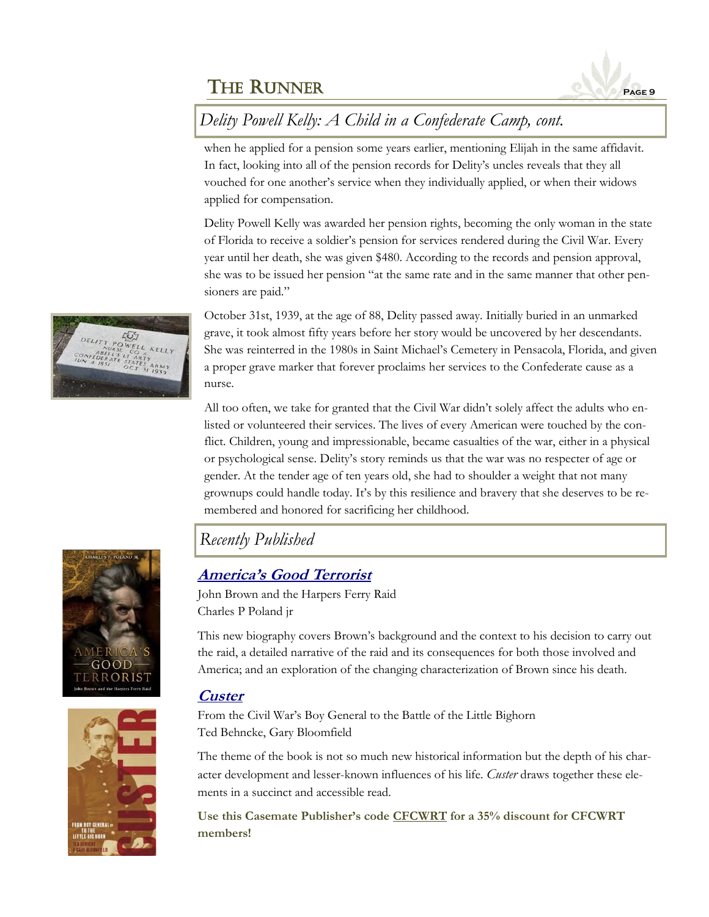

# *Delity Powell Kelly: A Child in a Confederate Camp, cont.*

when he applied for a pension some years earlier, mentioning Elijah in the same affidavit. In fact, looking into all of the pension records for Delity's uncles reveals that they all vouched for one another's service when they individually applied, or when their widows applied for compensation.

Delity Powell Kelly was awarded her pension rights, becoming the only woman in the state of Florida to receive a soldier's pension for services rendered during the Civil War. Every year until her death, she was given \$480. According to the records and pension approval, she was to be issued her pension "at the same rate and in the same manner that other pensioners are paid."

October 31st, 1939, at the age of 88, Delity passed away. Initially buried in an unmarked grave, it took almost fifty years before her story would be uncovered by her descendants. She was reinterred in the 1980s in Saint Michael's Cemetery in Pensacola, Florida, and given a proper grave marker that forever proclaims her services to the Confederate cause as a nurse.

All too often, we take for granted that the Civil War didn't solely affect the adults who enlisted or volunteered their services. The lives of every American were touched by the conflict. Children, young and impressionable, became casualties of the war, either in a physical or psychological sense. Delity's story reminds us that the war was no respecter of age or gender. At the tender age of ten years old, she had to shoulder a weight that not many grownups could handle today. It's by this resilience and bravery that she deserves to be remembered and honored for sacrificing her childhood.

### *Recently Published*

### **[America's Good Terrorist](https://www.casematepublishers.com/america-039-s-good-terrorist.html#.X6BGeIhKiUl)**

John Brown and the Harpers Ferry Raid Charles P Poland jr

This new biography covers Brown's background and the context to his decision to carry out the raid, a detailed narrative of the raid and its consequences for both those involved and America; and an exploration of the changing characterization of Brown since his death.

### **[Custer](https://www.casematepublishers.com/custer.html#.X6BGlYhKiUm)**

From the Civil War's Boy General to the Battle of the Little Bighorn Ted Behncke, Gary Bloomfield

The theme of the book is not so much new historical information but the depth of his character development and lesser-known influences of his life. *Custer* draws together these elements in a succinct and accessible read.

**Use this Casemate Publisher's code CFCWRT for a 35% discount for CFCWRT members!**





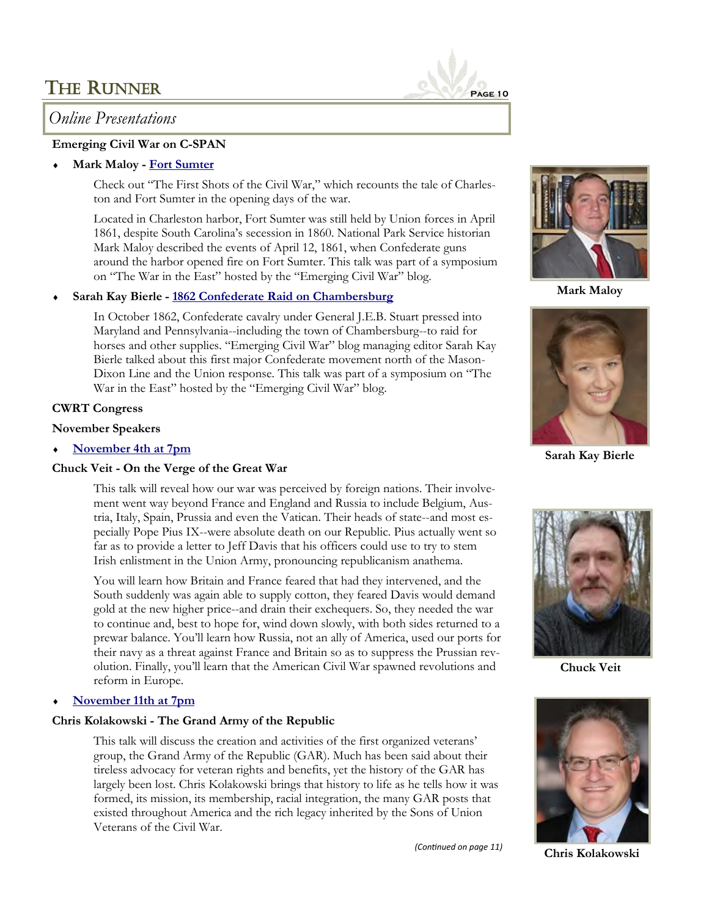### *Online Presentations*

#### **Emerging Civil War on C-SPAN**

#### **Mark Maloy - [Fort Sumter](https://www.c-span.org/video/?474620-8/fort-sumter-shots-civil-war)**

Check out "The First Shots of the Civil War," which recounts the tale of Charleston and Fort Sumter in the opening days of the war.

Located in Charleston harbor, Fort Sumter was still held by Union forces in April 1861, despite South Carolina's secession in 1860. National Park Service historian Mark Maloy described the events of April 12, 1861, when Confederate guns around the harbor opened fire on Fort Sumter. This talk was part of a symposium on "The War in the East" hosted by the "Emerging Civil War" blog.

#### **Sarah Kay Bierle - [1862 Confederate Raid on Chambersburg](https://www.c-span.org/video/?474620-4/1862-confederate-raid-chambersburg)**

In October 1862, Confederate cavalry under General J.E.B. Stuart pressed into Maryland and Pennsylvania--including the town of Chambersburg--to raid for horses and other supplies. "Emerging Civil War" blog managing editor Sarah Kay Bierle talked about this first major Confederate movement north of the Mason-Dixon Line and the Union response. This talk was part of a symposium on "The War in the East" hosted by the "Emerging Civil War" blog.

#### **CWRT Congress**

#### **November Speakers**

**[November 4th at 7pm](https://www.cwrtcongress.org/speaker.html)**

#### **Chuck Veit - On the Verge of the Great War**

This talk will reveal how our war was perceived by foreign nations. Their involvement went way beyond France and England and Russia to include Belgium, Austria, Italy, Spain, Prussia and even the Vatican. Their heads of state--and most especially Pope Pius IX--were absolute death on our Republic. Pius actually went so far as to provide a letter to Jeff Davis that his officers could use to try to stem Irish enlistment in the Union Army, pronouncing republicanism anathema.

You will learn how Britain and France feared that had they intervened, and the South suddenly was again able to supply cotton, they feared Davis would demand gold at the new higher price--and drain their exchequers. So, they needed the war to continue and, best to hope for, wind down slowly, with both sides returned to a prewar balance. You'll learn how Russia, not an ally of America, used our ports for their navy as a threat against France and Britain so as to suppress the Prussian revolution. Finally, you'll learn that the American Civil War spawned revolutions and reform in Europe.

#### **[November 11th at 7pm](https://www.cwrtcongress.org/speaker.html)**

#### **Chris Kolakowski - The Grand Army of the Republic**

This talk will discuss the creation and activities of the first organized veterans' group, the Grand Army of the Republic (GAR). Much has been said about their tireless advocacy for veteran rights and benefits, yet the history of the GAR has largely been lost. Chris Kolakowski brings that history to life as he tells how it was formed, its mission, its membership, racial integration, the many GAR posts that existed throughout America and the rich legacy inherited by the Sons of Union Veterans of the Civil War.

*(Continued on page 11)*



**Mark Maloy**



**Sarah Kay Bierle**



**Chuck Veit**



**Chris Kolakowski**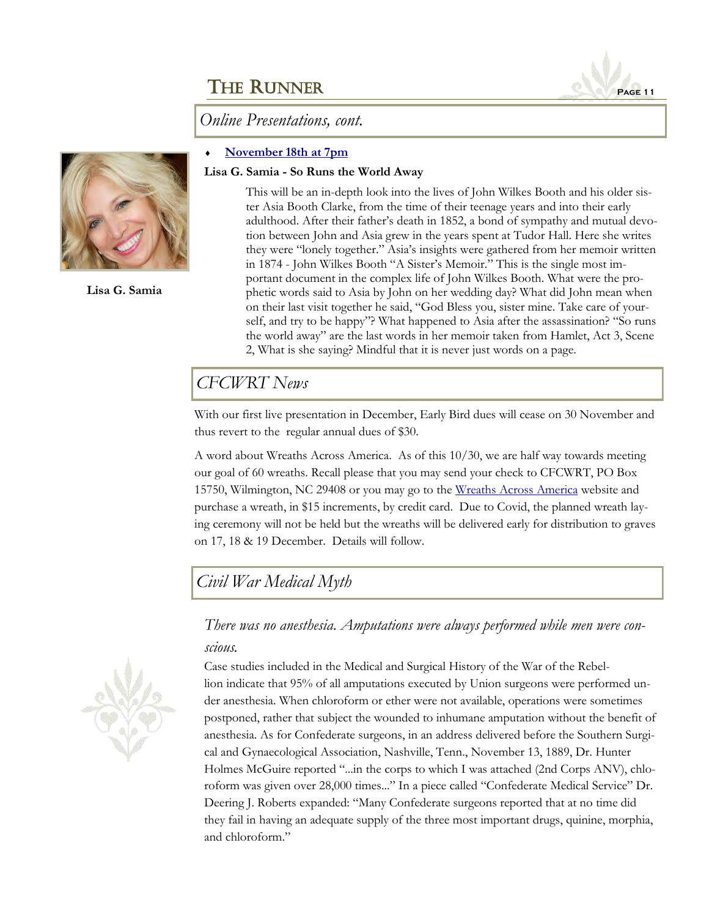*Online Presentations, cont.*

#### **[November 18th at 7pm](https://www.cwrtcongress.org/speaker.html)**

#### **Lisa G. Samia - So Runs the World Away**

This will be an in-depth look into the lives of John Wilkes Booth and his older sister Asia Booth Clarke, from the time of their teenage years and into their early adulthood. After their father's death in 1852, a bond of sympathy and mutual devotion between John and Asia grew in the years spent at Tudor Hall. Here she writes they were "lonely together." Asia's insights were gathered from her memoir written in 1874 - John Wilkes Booth "A Sister's Memoir." This is the single most important document in the complex life of John Wilkes Booth. What were the prophetic words said to Asia by John on her wedding day? What did John mean when on their last visit together he said, "God Bless you, sister mine. Take care of yourself, and try to be happy"? What happened to Asia after the assassination? "So runs the world away" are the last words in her memoir taken from Hamlet, Act 3, Scene 2, What is she saying? Mindful that it is never just words on a page.

### *CFCWRT News*

With our first live presentation in December, Early Bird dues will cease on 30 November and thus revert to the regular annual dues of \$30.

A word about Wreaths Across America. As of this 10/30, we are half way towards meeting our goal of 60 wreaths. Recall please that you may send your check to CFCWRT, PO Box 15750, Wilmington, NC 29408 or you may go to the [Wreaths Across America](https://www.wreathsacrossamerica.org/pages/150717) website and purchase a wreath, in \$15 increments, by credit card. Due to Covid, the planned wreath laying ceremony will not be held but the wreaths will be delivered early for distribution to graves on 17, 18 & 19 December. Details will follow.

*Civil War Medical Myth*

### *There was no anesthesia. Amputations were always performed while men were conscious.*

Case studies included in the Medical and Surgical History of the War of the Rebellion indicate that 95% of all amputations executed by Union surgeons were performed under anesthesia. When chloroform or ether were not available, operations were sometimes postponed, rather that subject the wounded to inhumane amputation without the benefit of anesthesia. As for Confederate surgeons, in an address delivered before the Southern Surgical and Gynaecological Association, Nashville, Tenn., November 13, 1889, Dr. Hunter Holmes McGuire reported "...in the corps to which I was attached (2nd Corps ANV), chloroform was given over 28,000 times..." In a piece called "Confederate Medical Service" Dr. Deering J. Roberts expanded: "Many Confederate surgeons reported that at no time did they fail in having an adequate supply of the three most important drugs, quinine, morphia, and chloroform."







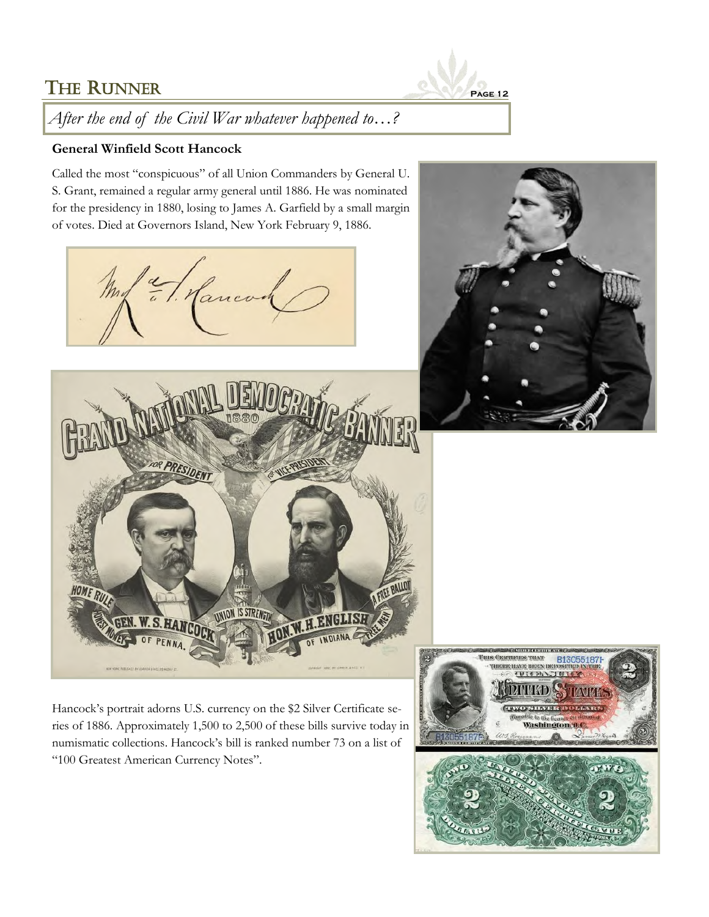

*After the end of the Civil War whatever happened to…?*

### **General Winfield Scott Hancock**

Called the most "conspicuous" of all Union Commanders by General U. S. Grant, remained a regular army general until 1886. He was nominated for the presidency in 1880, losing to James A. Garfield by a small margin of votes. Died at Governors Island, New York February 9, 1886.







Hancock's portrait adorns U.S. currency on the \$2 Silver Certificate series of 1886. Approximately 1,500 to 2,500 of these bills survive today in numismatic collections. Hancock's bill is ranked number 73 on a list of "100 Greatest American Currency Notes".